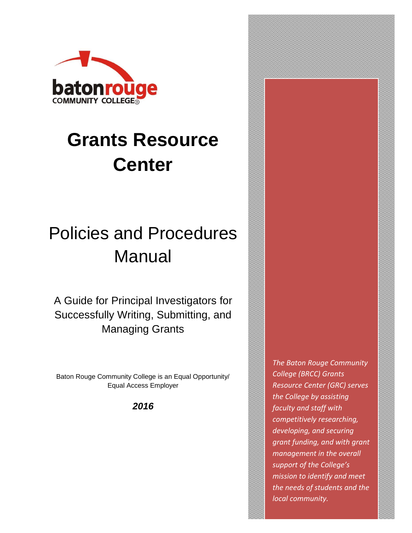

# **Grants Resource Center**

## Policies and Procedures Manual

A Guide for Principal Investigators for Successfully Writing, Submitting, and Managing Grants

Baton Rouge Community College is an Equal Opportunity/ Equal Access Employer

*2016*

*The Baton Rouge Community College (BRCC) Grants Resource Center (GRC) serves the College by assisting faculty and staff with competitively researching, developing, and securing grant funding, and with grant management in the overall support of the College's mission to identify and meet the needs of students and the local community.*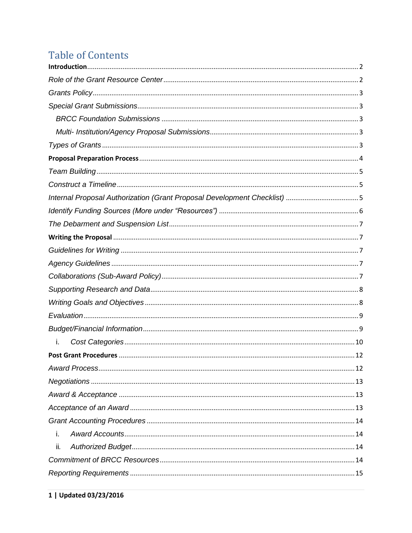## **Table of Contents**

| i.  |  |  |
|-----|--|--|
|     |  |  |
|     |  |  |
|     |  |  |
|     |  |  |
|     |  |  |
|     |  |  |
| i.  |  |  |
| ii. |  |  |
|     |  |  |
|     |  |  |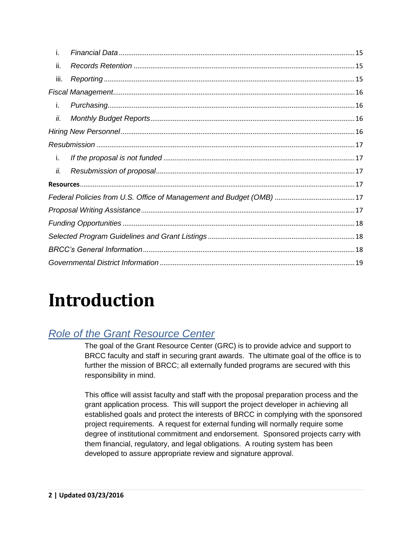| i.   |  |  |
|------|--|--|
| ii.  |  |  |
| iii. |  |  |
|      |  |  |
| i.   |  |  |
| ii.  |  |  |
|      |  |  |
|      |  |  |
| i.   |  |  |
| ii.  |  |  |
|      |  |  |
|      |  |  |
|      |  |  |
|      |  |  |
|      |  |  |
|      |  |  |
|      |  |  |

# <span id="page-2-0"></span>**Introduction**

## <span id="page-2-1"></span>*Role of the Grant Resource Center*

The goal of the Grant Resource Center (GRC) is to provide advice and support to BRCC faculty and staff in securing grant awards. The ultimate goal of the office is to further the mission of BRCC; all externally funded programs are secured with this responsibility in mind.

This office will assist faculty and staff with the proposal preparation process and the grant application process. This will support the project developer in achieving all established goals and protect the interests of BRCC in complying with the sponsored project requirements. A request for external funding will normally require some degree of institutional commitment and endorsement. Sponsored projects carry with them financial, regulatory, and legal obligations. A routing system has been developed to assure appropriate review and signature approval.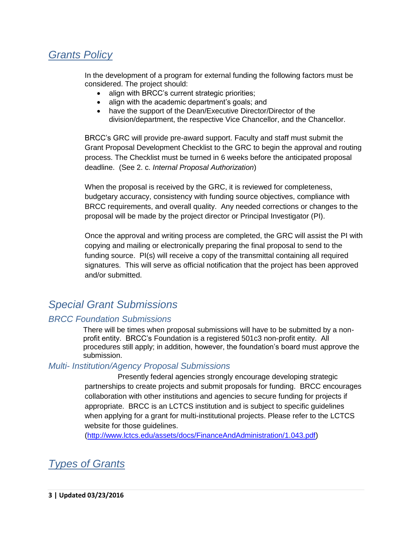## <span id="page-3-0"></span>*Grants Policy*

In the development of a program for external funding the following factors must be considered. The project should:

- align with BRCC's current strategic priorities;
- align with the academic department's goals; and
- have the support of the Dean/Executive Director/Director of the division/department, the respective Vice Chancellor, and the Chancellor.

BRCC's GRC will provide pre-award support. Faculty and staff must submit the Grant Proposal Development Checklist to the GRC to begin the approval and routing process. The Checklist must be turned in 6 weeks before the anticipated proposal deadline. (See 2. c. *Internal Proposal Authorization*)

When the proposal is received by the GRC, it is reviewed for completeness, budgetary accuracy, consistency with funding source objectives, compliance with BRCC requirements, and overall quality. Any needed corrections or changes to the proposal will be made by the project director or Principal Investigator (PI).

Once the approval and writing process are completed, the GRC will assist the PI with copying and mailing or electronically preparing the final proposal to send to the funding source. PI(s) will receive a copy of the transmittal containing all required signatures. This will serve as official notification that the project has been approved and/or submitted.

## <span id="page-3-1"></span>*Special Grant Submissions*

#### <span id="page-3-2"></span>*BRCC Foundation Submissions*

There will be times when proposal submissions will have to be submitted by a nonprofit entity. BRCC's Foundation is a registered 501c3 non-profit entity. All procedures still apply; in addition, however, the foundation's board must approve the submission.

#### <span id="page-3-3"></span>*Multi- Institution/Agency Proposal Submissions*

Presently federal agencies strongly encourage developing strategic partnerships to create projects and submit proposals for funding. BRCC encourages collaboration with other institutions and agencies to secure funding for projects if appropriate. BRCC is an LCTCS institution and is subject to specific guidelines when applying for a grant for multi-institutional projects. Please refer to the LCTCS website for those guidelines.

(http://www.lctcs.edu/assets/docs/FinanceAndAdministration/1.043.pdf)

<span id="page-3-4"></span>*Types of Grants*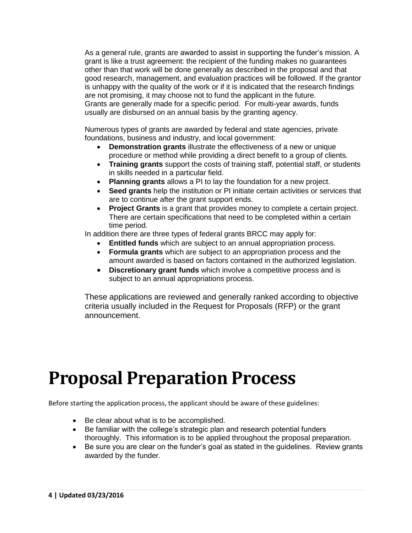As a general rule, grants are awarded to assist in supporting the funder's mission. A grant is like a trust agreement: the recipient of the funding makes no guarantees other than that work will be done generally as described in the proposal and that good research, management, and evaluation practices will be followed. If the grantor is unhappy with the quality of the work or if it is indicated that the research findings are not promising, it may choose not to fund the applicant in the future. Grants are generally made for a specific period. For multi-year awards, funds usually are disbursed on an annual basis by the granting agency.

Numerous types of grants are awarded by federal and state agencies, private foundations, business and industry, and local government:

- **Demonstration grants** illustrate the effectiveness of a new or unique procedure or method while providing a direct benefit to a group of clients.
- **Training grants** support the costs of training staff, potential staff, or students in skills needed in a particular field.
- **Planning grants** allows a PI to lay the foundation for a new project.
- **Seed grants** help the institution or PI initiate certain activities or services that are to continue after the grant support ends.
- **Project Grants** is a grant that provides money to complete a certain project. There are certain specifications that need to be completed within a certain time period.

In addition there are three types of federal grants BRCC may apply for:

- **Entitled funds** which are subject to an annual appropriation process.
- **Formula grants** which are subject to an appropriation process and the amount awarded is based on factors contained in the authorized legislation.
- **Discretionary grant funds** which involve a competitive process and is subject to an annual appropriations process.

These applications are reviewed and generally ranked according to objective criteria usually included in the Request for Proposals (RFP) or the grant announcement.

## <span id="page-4-0"></span>**Proposal Preparation Process**

Before starting the application process, the applicant should be aware of these guidelines:

- Be clear about what is to be accomplished.
- Be familiar with the college's strategic plan and research potential funders thoroughly. This information is to be applied throughout the proposal preparation.
- Be sure you are clear on the funder's goal as stated in the guidelines. Review grants awarded by the funder.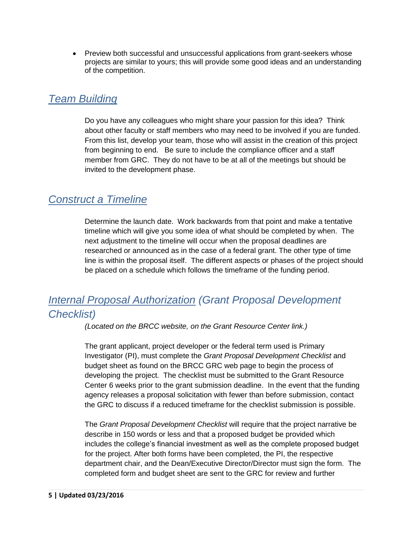• Preview both successful and unsuccessful applications from grant-seekers whose projects are similar to yours; this will provide some good ideas and an understanding of the competition.

## <span id="page-5-0"></span>*Team Building*

Do you have any colleagues who might share your passion for this idea? Think about other faculty or staff members who may need to be involved if you are funded. From this list, develop your team, those who will assist in the creation of this project from beginning to end. Be sure to include the compliance officer and a staff member from GRC. They do not have to be at all of the meetings but should be invited to the development phase.

## <span id="page-5-1"></span>*Construct a Timeline*

Determine the launch date. Work backwards from that point and make a tentative timeline which will give you some idea of what should be completed by when. The next adjustment to the timeline will occur when the proposal deadlines are researched or announced as in the case of a federal grant. The other type of time line is within the proposal itself. The different aspects or phases of the project should be placed on a schedule which follows the timeframe of the funding period.

## <span id="page-5-2"></span>*Internal Proposal Authorization (Grant Proposal Development Checklist)*

*(Located on the BRCC website, on the Grant Resource Center link.)*

The grant applicant, project developer or the federal term used is Primary Investigator (PI), must complete the *Grant Proposal Development Checklist* and budget sheet as found on the BRCC GRC web page to begin the process of developing the project. The checklist must be submitted to the Grant Resource Center 6 weeks prior to the grant submission deadline. In the event that the funding agency releases a proposal solicitation with fewer than before submission, contact the GRC to discuss if a reduced timeframe for the checklist submission is possible.

The *Grant Proposal Development Checklist* will require that the project narrative be describe in 150 words or less and that a proposed budget be provided which includes the college's financial investment as well as the complete proposed budget for the project. After both forms have been completed, the PI, the respective department chair, and the Dean/Executive Director/Director must sign the form. The completed form and budget sheet are sent to the GRC for review and further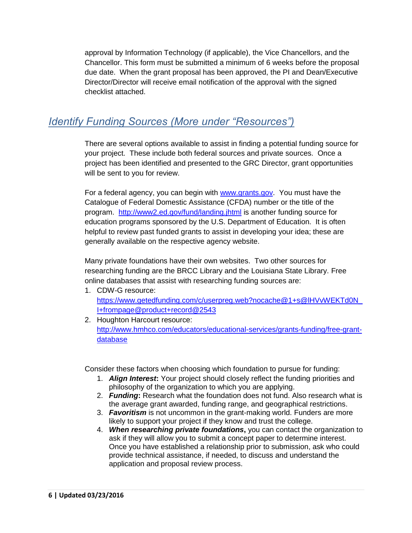approval by Information Technology (if applicable), the Vice Chancellors, and the Chancellor. This form must be submitted a minimum of 6 weeks before the proposal due date. When the grant proposal has been approved, the PI and Dean/Executive Director/Director will receive email notification of the approval with the signed checklist attached.

## <span id="page-6-0"></span>*Identify Funding Sources (More under "Resources")*

There are several options available to assist in finding a potential funding source for your project. These include both federal sources and private sources. Once a project has been identified and presented to the GRC Director, grant opportunities will be sent to you for review.

For a federal agency, you can begin with www.grants.gov. You must have the Catalogue of Federal Domestic Assistance (CFDA) number or the title of the program. http://www2.ed.gov/fund/landing.jhtml is another funding source for education programs sponsored by the U.S. Department of Education. It is often helpful to review past funded grants to assist in developing your idea; these are generally available on the respective agency website.

Many private foundations have their own websites. Two other sources for researching funding are the BRCC Library and the Louisiana State Library. Free online databases that assist with researching funding sources are:

- 1. CDW-G resource: https://www.getedfunding.com/c/userpreg.web?nocache@1+s@lHVvWEKTd0N\_ I+frompage@product+record@2543
- 2. Houghton Harcourt resource: http://www.hmhco.com/educators/educational-services/grants-funding/free-grantdatabase

Consider these factors when choosing which foundation to pursue for funding:

- 1. *Align Interest***:** Your project should closely reflect the funding priorities and philosophy of the organization to which you are applying.
- 2. *Funding***:** Research what the foundation does not fund. Also research what is the average grant awarded, funding range, and geographical restrictions.
- 3. *Favoritism* is not uncommon in the grant-making world. Funders are more likely to support your project if they know and trust the college.
- 4. *When researching private foundations***,** you can contact the organization to ask if they will allow you to submit a concept paper to determine interest. Once you have established a relationship prior to submission, ask who could provide technical assistance, if needed, to discuss and understand the application and proposal review process.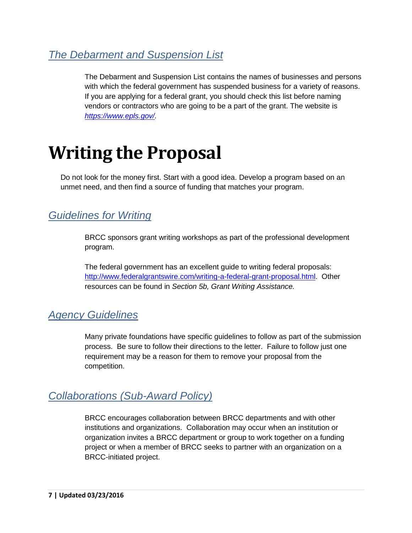## <span id="page-7-0"></span>*The Debarment and Suspension List*

The Debarment and Suspension List contains the names of businesses and persons with which the federal government has suspended business for a variety of reasons. If you are applying for a federal grant, you should check this list before naming vendors or contractors who are going to be a part of the grant. The website is *https://www.epls.gov/.*

## <span id="page-7-1"></span>**Writing the Proposal**

Do not look for the money first. Start with a good idea. Develop a program based on an unmet need, and then find a source of funding that matches your program.

## <span id="page-7-2"></span>*Guidelines for Writing*

BRCC sponsors grant writing workshops as part of the professional development program.

The federal government has an excellent guide to writing federal proposals: http://www.federalgrantswire.com/writing-a-federal-grant-proposal.html. Other resources can be found in *Section 5b, Grant Writing Assistance.* 

## <span id="page-7-3"></span>*Agency Guidelines*

Many private foundations have specific guidelines to follow as part of the submission process. Be sure to follow their directions to the letter. Failure to follow just one requirement may be a reason for them to remove your proposal from the competition.

## <span id="page-7-4"></span>*Collaborations (Sub-Award Policy)*

BRCC encourages collaboration between BRCC departments and with other institutions and organizations. Collaboration may occur when an institution or organization invites a BRCC department or group to work together on a funding project or when a member of BRCC seeks to partner with an organization on a BRCC-initiated project.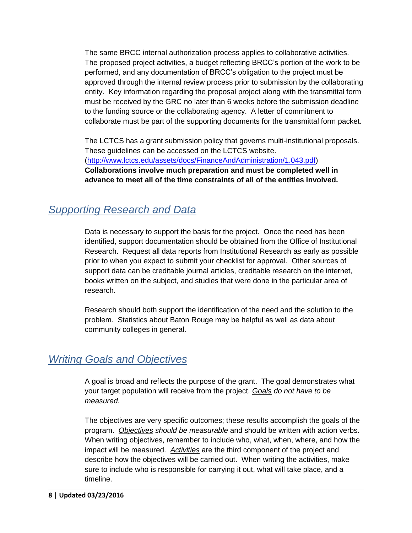The same BRCC internal authorization process applies to collaborative activities. The proposed project activities, a budget reflecting BRCC's portion of the work to be performed, and any documentation of BRCC's obligation to the project must be approved through the internal review process prior to submission by the collaborating entity. Key information regarding the proposal project along with the transmittal form must be received by the GRC no later than 6 weeks before the submission deadline to the funding source or the collaborating agency. A letter of commitment to collaborate must be part of the supporting documents for the transmittal form packet.

The LCTCS has a grant submission policy that governs multi-institutional proposals. These guidelines can be accessed on the LCTCS website. (http://www.lctcs.edu/assets/docs/FinanceAndAdministration/1.043.pdf) **Collaborations involve much preparation and must be completed well in advance to meet all of the time constraints of all of the entities involved.** 

## <span id="page-8-0"></span>*Supporting Research and Data*

Data is necessary to support the basis for the project. Once the need has been identified, support documentation should be obtained from the Office of Institutional Research. Request all data reports from Institutional Research as early as possible prior to when you expect to submit your checklist for approval. Other sources of support data can be creditable journal articles, creditable research on the internet, books written on the subject, and studies that were done in the particular area of research.

Research should both support the identification of the need and the solution to the problem. Statistics about Baton Rouge may be helpful as well as data about community colleges in general.

## <span id="page-8-1"></span>*Writing Goals and Objectives*

A goal is broad and reflects the purpose of the grant. The goal demonstrates what your target population will receive from the project. *Goals do not have to be measured*.

The objectives are very specific outcomes; these results accomplish the goals of the program. *Objectives should be measurable* and should be written with action verbs. When writing objectives, remember to include who, what, when, where, and how the impact will be measured. *Activities* are the third component of the project and describe how the objectives will be carried out. When writing the activities, make sure to include who is responsible for carrying it out, what will take place, and a timeline.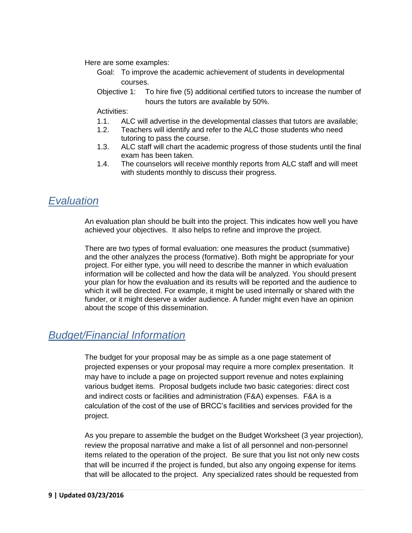Here are some examples:

- Goal: To improve the academic achievement of students in developmental courses.
- Objective 1: To hire five (5) additional certified tutors to increase the number of hours the tutors are available by 50%.

Activities:

- 1.1. ALC will advertise in the developmental classes that tutors are available;
- 1.2. Teachers will identify and refer to the ALC those students who need tutoring to pass the course.
- 1.3. ALC staff will chart the academic progress of those students until the final exam has been taken.
- 1.4. The counselors will receive monthly reports from ALC staff and will meet with students monthly to discuss their progress.

## <span id="page-9-0"></span>*Evaluation*

An evaluation plan should be built into the project. This indicates how well you have achieved your objectives. It also helps to refine and improve the project.

There are two types of formal evaluation: one measures the product (summative) and the other analyzes the process (formative). Both might be appropriate for your project. For either type, you will need to describe the manner in which evaluation information will be collected and how the data will be analyzed. You should present your plan for how the evaluation and its results will be reported and the audience to which it will be directed. For example, it might be used internally or shared with the funder, or it might deserve a wider audience. A funder might even have an opinion about the scope of this dissemination.

## <span id="page-9-1"></span>*Budget/Financial Information*

The budget for your proposal may be as simple as a one page statement of projected expenses or your proposal may require a more complex presentation. It may have to include a page on projected support revenue and notes explaining various budget items. Proposal budgets include two basic categories: direct cost and indirect costs or facilities and administration (F&A) expenses. F&A is a calculation of the cost of the use of BRCC's facilities and services provided for the project.

As you prepare to assemble the budget on the Budget Worksheet (3 year projection), review the proposal narrative and make a list of all personnel and non-personnel items related to the operation of the project. Be sure that you list not only new costs that will be incurred if the project is funded, but also any ongoing expense for items that will be allocated to the project. Any specialized rates should be requested from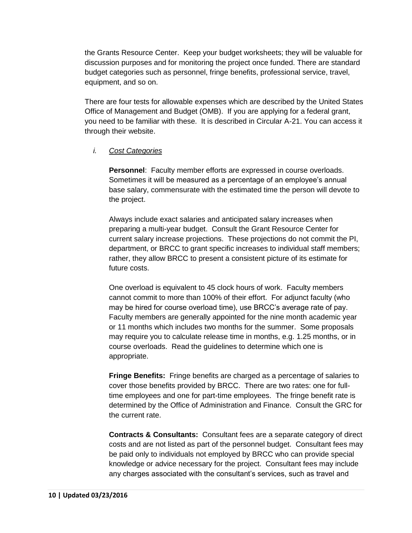the Grants Resource Center. Keep your budget worksheets; they will be valuable for discussion purposes and for monitoring the project once funded. There are standard budget categories such as personnel, fringe benefits, professional service, travel, equipment, and so on.

There are four tests for allowable expenses which are described by the United States Office of Management and Budget (OMB). If you are applying for a federal grant, you need to be familiar with these. It is described in Circular A-21. You can access it through their website.

#### <span id="page-10-0"></span>*i. Cost Categories*

**Personnel**: Faculty member efforts are expressed in course overloads. Sometimes it will be measured as a percentage of an employee's annual base salary, commensurate with the estimated time the person will devote to the project.

Always include exact salaries and anticipated salary increases when preparing a multi-year budget. Consult the Grant Resource Center for current salary increase projections. These projections do not commit the PI, department, or BRCC to grant specific increases to individual staff members; rather, they allow BRCC to present a consistent picture of its estimate for future costs.

One overload is equivalent to 45 clock hours of work. Faculty members cannot commit to more than 100% of their effort. For adjunct faculty (who may be hired for course overload time), use BRCC's average rate of pay. Faculty members are generally appointed for the nine month academic year or 11 months which includes two months for the summer. Some proposals may require you to calculate release time in months, e.g. 1.25 months, or in course overloads. Read the guidelines to determine which one is appropriate.

**Fringe Benefits:** Fringe benefits are charged as a percentage of salaries to cover those benefits provided by BRCC. There are two rates: one for fulltime employees and one for part-time employees. The fringe benefit rate is determined by the Office of Administration and Finance. Consult the GRC for the current rate.

**Contracts & Consultants:** Consultant fees are a separate category of direct costs and are not listed as part of the personnel budget. Consultant fees may be paid only to individuals not employed by BRCC who can provide special knowledge or advice necessary for the project. Consultant fees may include any charges associated with the consultant's services, such as travel and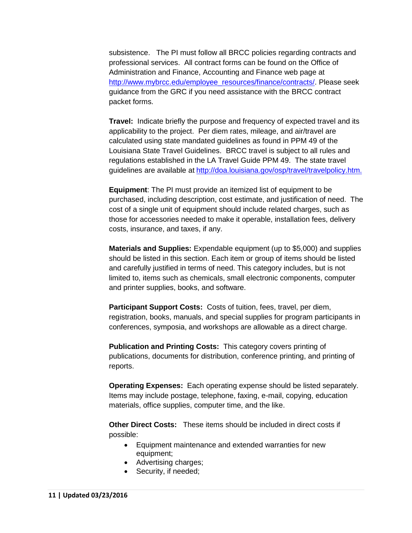subsistence. The PI must follow all BRCC policies regarding contracts and professional services. All contract forms can be found on the Office of Administration and Finance, Accounting and Finance web page at http://www.mybrcc.edu/employee\_resources/finance/contracts/. Please seek guidance from the GRC if you need assistance with the BRCC contract packet forms.

**Travel:** Indicate briefly the purpose and frequency of expected travel and its applicability to the project. Per diem rates, mileage, and air/travel are calculated using state mandated guidelines as found in PPM 49 of the Louisiana State Travel Guidelines. BRCC travel is subject to all rules and regulations established in the LA Travel Guide PPM 49. The state travel guidelines are available at http://doa.louisiana.gov/osp/travel/travelpolicy.htm.

**Equipment**: The PI must provide an itemized list of equipment to be purchased, including description, cost estimate, and justification of need. The cost of a single unit of equipment should include related charges, such as those for accessories needed to make it operable, installation fees, delivery costs, insurance, and taxes, if any.

**Materials and Supplies:** Expendable equipment (up to \$5,000) and supplies should be listed in this section. Each item or group of items should be listed and carefully justified in terms of need. This category includes, but is not limited to, items such as chemicals, small electronic components, computer and printer supplies, books, and software.

**Participant Support Costs:** Costs of tuition, fees, travel, per diem, registration, books, manuals, and special supplies for program participants in conferences, symposia, and workshops are allowable as a direct charge.

**Publication and Printing Costs:** This category covers printing of publications, documents for distribution, conference printing, and printing of reports.

**Operating Expenses:** Each operating expense should be listed separately. Items may include postage, telephone, faxing, e-mail, copying, education materials, office supplies, computer time, and the like.

**Other Direct Costs:** These items should be included in direct costs if possible:

- Equipment maintenance and extended warranties for new equipment;
- Advertising charges;
- Security, if needed;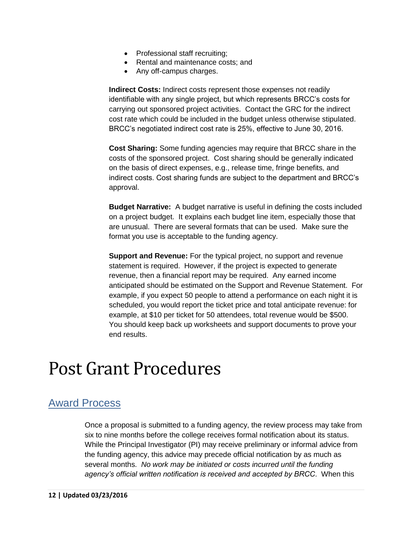- Professional staff recruiting;
- Rental and maintenance costs; and
- Any off-campus charges.

**Indirect Costs:** Indirect costs represent those expenses not readily identifiable with any single project, but which represents BRCC's costs for carrying out sponsored project activities. Contact the GRC for the indirect cost rate which could be included in the budget unless otherwise stipulated. BRCC's negotiated indirect cost rate is 25%, effective to June 30, 2016.

**Cost Sharing:** Some funding agencies may require that BRCC share in the costs of the sponsored project. Cost sharing should be generally indicated on the basis of direct expenses, e.g., release time, fringe benefits, and indirect costs. Cost sharing funds are subject to the department and BRCC's approval.

**Budget Narrative:** A budget narrative is useful in defining the costs included on a project budget. It explains each budget line item, especially those that are unusual. There are several formats that can be used. Make sure the format you use is acceptable to the funding agency.

**Support and Revenue:** For the typical project, no support and revenue statement is required. However, if the project is expected to generate revenue, then a financial report may be required. Any earned income anticipated should be estimated on the Support and Revenue Statement. For example, if you expect 50 people to attend a performance on each night it is scheduled, you would report the ticket price and total anticipate revenue: for example, at \$10 per ticket for 50 attendees, total revenue would be \$500. You should keep back up worksheets and support documents to prove your end results.

## <span id="page-12-0"></span>Post Grant Procedures

## <span id="page-12-1"></span>Award Process

Once a proposal is submitted to a funding agency, the review process may take from six to nine months before the college receives formal notification about its status. While the Principal Investigator (PI) may receive preliminary or informal advice from the funding agency, this advice may precede official notification by as much as several months. *No work may be initiated or costs incurred until the funding agency's official written notification is received and accepted by BRCC*. When this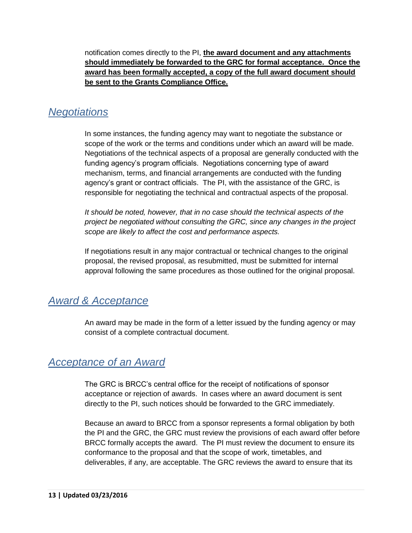notification comes directly to the PI, **the award document and any attachments should immediately be forwarded to the GRC for formal acceptance. Once the award has been formally accepted, a copy of the full award document should be sent to the Grants Compliance Office.**

## <span id="page-13-0"></span>*Negotiations*

In some instances, the funding agency may want to negotiate the substance or scope of the work or the terms and conditions under which an award will be made. Negotiations of the technical aspects of a proposal are generally conducted with the funding agency's program officials. Negotiations concerning type of award mechanism, terms, and financial arrangements are conducted with the funding agency's grant or contract officials. The PI, with the assistance of the GRC, is responsible for negotiating the technical and contractual aspects of the proposal.

*It should be noted, however, that in no case should the technical aspects of the project be negotiated without consulting the GRC, since any changes in the project scope are likely to affect the cost and performance aspects.*

If negotiations result in any major contractual or technical changes to the original proposal, the revised proposal, as resubmitted, must be submitted for internal approval following the same procedures as those outlined for the original proposal.

## <span id="page-13-1"></span>*Award & Acceptance*

An award may be made in the form of a letter issued by the funding agency or may consist of a complete contractual document.

### <span id="page-13-2"></span>*Acceptance of an Award*

The GRC is BRCC's central office for the receipt of notifications of sponsor acceptance or rejection of awards. In cases where an award document is sent directly to the PI, such notices should be forwarded to the GRC immediately.

Because an award to BRCC from a sponsor represents a formal obligation by both the PI and the GRC, the GRC must review the provisions of each award offer before BRCC formally accepts the award. The PI must review the document to ensure its conformance to the proposal and that the scope of work, timetables, and deliverables, if any, are acceptable. The GRC reviews the award to ensure that its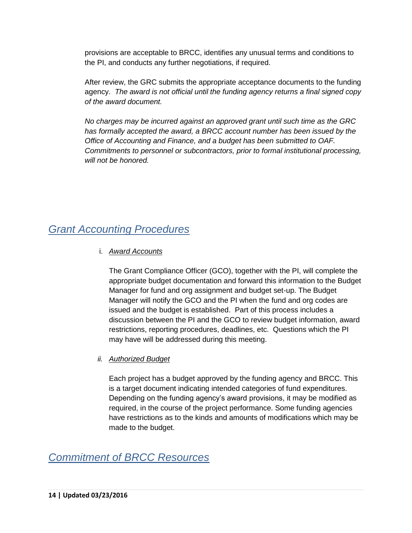provisions are acceptable to BRCC, identifies any unusual terms and conditions to the PI, and conducts any further negotiations, if required.

After review, the GRC submits the appropriate acceptance documents to the funding agency. *The award is not official until the funding agency returns a final signed copy of the award document.*

*No charges may be incurred against an approved grant until such time as the GRC has formally accepted the award, a BRCC account number has been issued by the Office of Accounting and Finance, and a budget has been submitted to OAF. Commitments to personnel or subcontractors, prior to formal institutional processing, will not be honored.*

## <span id="page-14-1"></span><span id="page-14-0"></span>*Grant Accounting Procedures*

#### i. *Award Accounts*

The Grant Compliance Officer (GCO), together with the PI, will complete the appropriate budget documentation and forward this information to the Budget Manager for fund and org assignment and budget set-up. The Budget Manager will notify the GCO and the PI when the fund and org codes are issued and the budget is established. Part of this process includes a discussion between the PI and the GCO to review budget information, award restrictions, reporting procedures, deadlines, etc. Questions which the PI may have will be addressed during this meeting.

#### <span id="page-14-2"></span>*ii. Authorized Budget*

Each project has a budget approved by the funding agency and BRCC. This is a target document indicating intended categories of fund expenditures. Depending on the funding agency's award provisions, it may be modified as required, in the course of the project performance. Some funding agencies have restrictions as to the kinds and amounts of modifications which may be made to the budget.

### <span id="page-14-3"></span>*Commitment of BRCC Resources*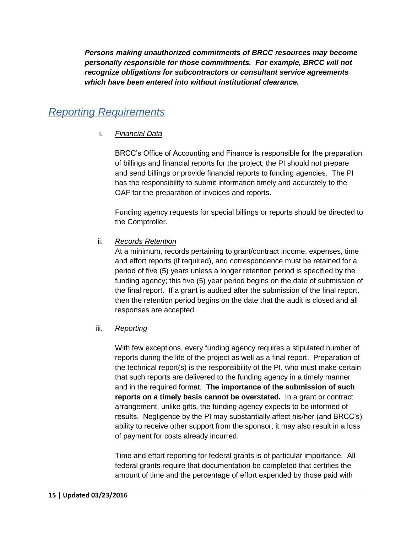*Persons making unauthorized commitments of BRCC resources may become personally responsible for those commitments. For example, BRCC will not recognize obligations for subcontractors or consultant service agreements which have been entered into without institutional clearance.*

## <span id="page-15-1"></span><span id="page-15-0"></span>*Reporting Requirements*

#### i. *Financial Data*

BRCC's Office of Accounting and Finance is responsible for the preparation of billings and financial reports for the project; the PI should not prepare and send billings or provide financial reports to funding agencies. The PI has the responsibility to submit information timely and accurately to the OAF for the preparation of invoices and reports.

Funding agency requests for special billings or reports should be directed to the Comptroller.

#### <span id="page-15-2"></span>ii. *Records Retention*

At a minimum, records pertaining to grant/contract income, expenses, time and effort reports (if required), and correspondence must be retained for a period of five (5) years unless a longer retention period is specified by the funding agency; this five (5) year period begins on the date of submission of the final report. If a grant is audited after the submission of the final report, then the retention period begins on the date that the audit is closed and all responses are accepted.

#### <span id="page-15-3"></span>iii. *Reporting*

With few exceptions, every funding agency requires a stipulated number of reports during the life of the project as well as a final report. Preparation of the technical report(s) is the responsibility of the PI, who must make certain that such reports are delivered to the funding agency in a timely manner and in the required format. **The importance of the submission of such reports on a timely basis cannot be overstated.** In a grant or contract arrangement, unlike gifts, the funding agency expects to be informed of results. Negligence by the PI may substantially affect his/her (and BRCC's) ability to receive other support from the sponsor; it may also result in a loss of payment for costs already incurred.

Time and effort reporting for federal grants is of particular importance. All federal grants require that documentation be completed that certifies the amount of time and the percentage of effort expended by those paid with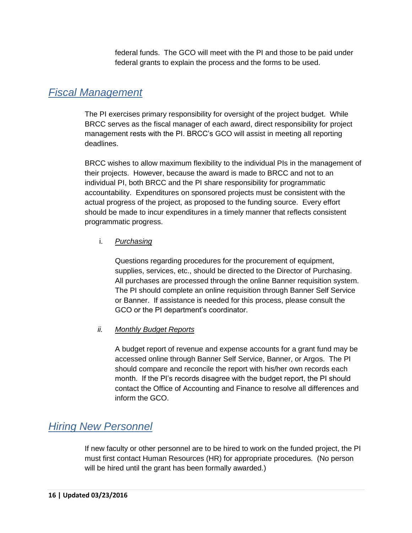federal funds. The GCO will meet with the PI and those to be paid under federal grants to explain the process and the forms to be used.

### <span id="page-16-0"></span>*Fiscal Management*

The PI exercises primary responsibility for oversight of the project budget. While BRCC serves as the fiscal manager of each award, direct responsibility for project management rests with the PI. BRCC's GCO will assist in meeting all reporting deadlines.

BRCC wishes to allow maximum flexibility to the individual PIs in the management of their projects. However, because the award is made to BRCC and not to an individual PI, both BRCC and the PI share responsibility for programmatic accountability. Expenditures on sponsored projects must be consistent with the actual progress of the project, as proposed to the funding source. Every effort should be made to incur expenditures in a timely manner that reflects consistent programmatic progress.

#### <span id="page-16-1"></span>i. *Purchasing*

Questions regarding procedures for the procurement of equipment, supplies, services, etc., should be directed to the Director of Purchasing. All purchases are processed through the online Banner requisition system. The PI should complete an online requisition through Banner Self Service or Banner. If assistance is needed for this process, please consult the GCO or the PI department's coordinator.

#### <span id="page-16-2"></span>*ii. Monthly Budget Reports*

A budget report of revenue and expense accounts for a grant fund may be accessed online through Banner Self Service, Banner, or Argos. The PI should compare and reconcile the report with his/her own records each month. If the PI's records disagree with the budget report, the PI should contact the Office of Accounting and Finance to resolve all differences and inform the GCO.

### <span id="page-16-3"></span>*Hiring New Personnel*

If new faculty or other personnel are to be hired to work on the funded project, the PI must first contact Human Resources (HR) for appropriate procedures. (No person will be hired until the grant has been formally awarded.)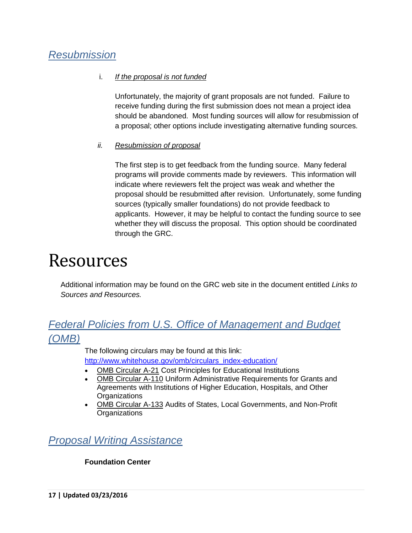## <span id="page-17-1"></span><span id="page-17-0"></span>*Resubmission*

#### i. *If the proposal is not funded*

Unfortunately, the majority of grant proposals are not funded. Failure to receive funding during the first submission does not mean a project idea should be abandoned. Most funding sources will allow for resubmission of a proposal; other options include investigating alternative funding sources.

#### <span id="page-17-2"></span>*ii. Resubmission of proposal*

The first step is to get feedback from the funding source. Many federal programs will provide comments made by reviewers. This information will indicate where reviewers felt the project was weak and whether the proposal should be resubmitted after revision. Unfortunately, some funding sources (typically smaller foundations) do not provide feedback to applicants. However, it may be helpful to contact the funding source to see whether they will discuss the proposal. This option should be coordinated through the GRC.

## <span id="page-17-3"></span>Resources

Additional information may be found on the GRC web site in the document entitled *Links to Sources and Resources.*

## <span id="page-17-4"></span>*Federal Policies from U.S. Office of Management and Budget (OMB)*

The following circulars may be found at this link:

http://www.whitehouse.gov/omb/circulars\_index-education/

- OMB Circular A-21 Cost Principles for Educational Institutions
- OMB Circular A-110 Uniform Administrative Requirements for Grants and Agreements with Institutions of Higher Education, Hospitals, and Other **Organizations**
- OMB Circular A-133 Audits of States, Local Governments, and Non-Profit **Organizations**

## <span id="page-17-5"></span>*Proposal Writing Assistance*

#### **Foundation Center**

**17 | Updated 03/23/2016**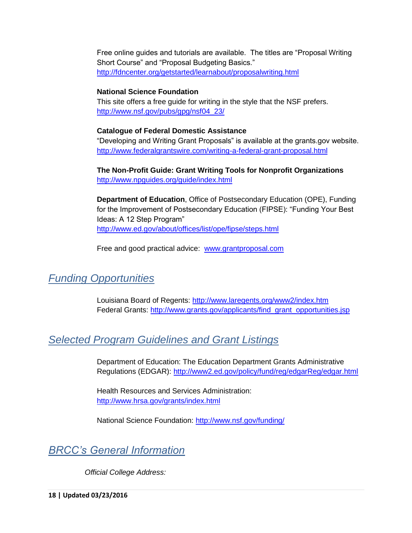Free online guides and tutorials are available. The titles are "Proposal Writing Short Course" and "Proposal Budgeting Basics." http://fdncenter.org/getstarted/learnabout/proposalwriting.html

#### **National Science Foundation**

This site offers a free guide for writing in the style that the NSF prefers. http://www.nsf.gov/pubs/gpg/nsf04\_23/

#### **Catalogue of Federal Domestic Assistance**

"Developing and Writing Grant Proposals" is available at the grants.gov website. http://www.federalgrantswire.com/writing-a-federal-grant-proposal.html

**The Non-Profit Guide: Grant Writing Tools for Nonprofit Organizations** http://www.npguides.org/guide/index.html

**Department of Education**, Office of Postsecondary Education (OPE), Funding for the Improvement of Postsecondary Education (FIPSE): "Funding Your Best Ideas: A 12 Step Program" http://www.ed.gov/about/offices/list/ope/fipse/steps.html

Free and good practical advice: www.grantproposal.com

## <span id="page-18-0"></span>*Funding Opportunities*

Louisiana Board of Regents: http://www.laregents.org/www2/index.htm Federal Grants: http://www.grants.gov/applicants/find\_grant\_opportunities.jsp

## <span id="page-18-1"></span>*Selected Program Guidelines and Grant Listings*

Department of Education: The Education Department Grants Administrative Regulations (EDGAR): http://www2.ed.gov/policy/fund/reg/edgarReg/edgar.html

Health Resources and Services Administration: http://www.hrsa.gov/grants/index.html

National Science Foundation: http://www.nsf.gov/funding/

## <span id="page-18-2"></span>*BRCC's General Information*

*Official College Address:*